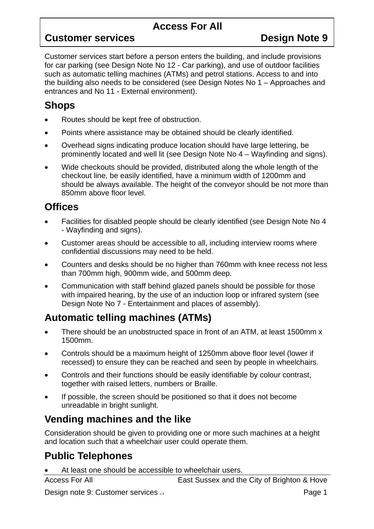#### **Access For All**

#### **Customer services Design Note 9**

Customer services start before a person enters the building, and include provisions for car parking (see Design Note No 12 - Car parking), and use of outdoor facilities such as automatic telling machines (ATMs) and petrol stations. Access to and into the building also needs to be considered (see Design Notes No 1 – Approaches and entrances and No 11 - External environment).

#### **Shops**

- Routes should be kept free of obstruction.
- Points where assistance may be obtained should be clearly identified.
- Overhead signs indicating produce location should have large lettering, be prominently located and well lit (see Design Note No 4 – Wayfinding and signs).
- Wide checkouts should be provided, distributed along the whole length of the checkout line, be easily identified, have a minimum width of 1200mm and should be always available. The height of the conveyor should be not more than 850mm above floor level.

#### **Offices**

- Facilities for disabled people should be clearly identified (see Design Note No 4 - Wayfinding and signs).
- Customer areas should be accessible to all, including interview rooms where confidential discussions may need to be held.
- Counters and desks should be no higher than 760mm with knee recess not less than 700mm high, 900mm wide, and 500mm deep.
- Communication with staff behind glazed panels should be possible for those with impaired hearing, by the use of an induction loop or infrared system (see Design Note No 7 - Entertainment and places of assembly).

# **Automatic telling machines (ATMs)**

- There should be an unobstructed space in front of an ATM, at least 1500mm x 1500mm.
- Controls should be a maximum height of 1250mm above floor level (lower if recessed) to ensure they can be reached and seen by people in wheelchairs.
- Controls and their functions should be easily identifiable by colour contrast, together with raised letters, numbers or Braille.
- If possible, the screen should be positioned so that it does not become unreadable in bright sunlight.

#### **Vending machines and the like**

Consideration should be given to providing one or more such machines at a height and location such that a wheelchair user could operate them.

# **Public Telephones**

At least one should be accessible to wheelchair users.

Access For All **East Sussex and the City of Brighton & Hove** 

Design note 9: Customer services v<sub>3</sub> Page 1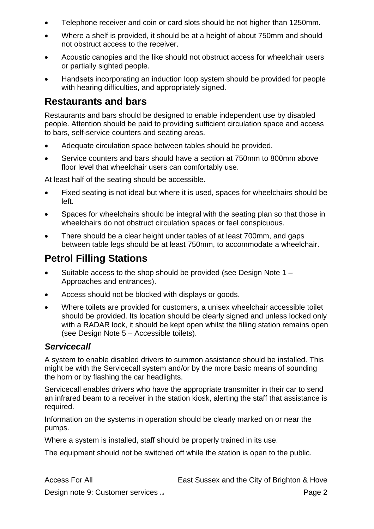- Telephone receiver and coin or card slots should be not higher than 1250mm.
- Where a shelf is provided, it should be at a height of about 750mm and should not obstruct access to the receiver.
- Acoustic canopies and the like should not obstruct access for wheelchair users or partially sighted people.
- Handsets incorporating an induction loop system should be provided for people with hearing difficulties, and appropriately signed.

## **Restaurants and bars**

Restaurants and bars should be designed to enable independent use by disabled people. Attention should be paid to providing sufficient circulation space and access to bars, self-service counters and seating areas.

- Adequate circulation space between tables should be provided.
- Service counters and bars should have a section at 750mm to 800mm above floor level that wheelchair users can comfortably use.

At least half of the seating should be accessible.

- Fixed seating is not ideal but where it is used, spaces for wheelchairs should be left.
- Spaces for wheelchairs should be integral with the seating plan so that those in wheelchairs do not obstruct circulation spaces or feel conspicuous.
- There should be a clear height under tables of at least 700mm, and gaps between table legs should be at least 750mm, to accommodate a wheelchair.

### **Petrol Filling Stations**

- Suitable access to the shop should be provided (see Design Note 1 Approaches and entrances).
- Access should not be blocked with displays or goods.
- Where toilets are provided for customers, a unisex wheelchair accessible toilet should be provided. Its location should be clearly signed and unless locked only with a RADAR lock, it should be kept open whilst the filling station remains open (see Design Note 5 – Accessible toilets).

#### *Servicecall*

A system to enable disabled drivers to summon assistance should be installed. This might be with the Servicecall system and/or by the more basic means of sounding the horn or by flashing the car headlights.

Servicecall enables drivers who have the appropriate transmitter in their car to send an infrared beam to a receiver in the station kiosk, alerting the staff that assistance is required.

Information on the systems in operation should be clearly marked on or near the pumps.

Where a system is installed, staff should be properly trained in its use.

The equipment should not be switched off while the station is open to the public.